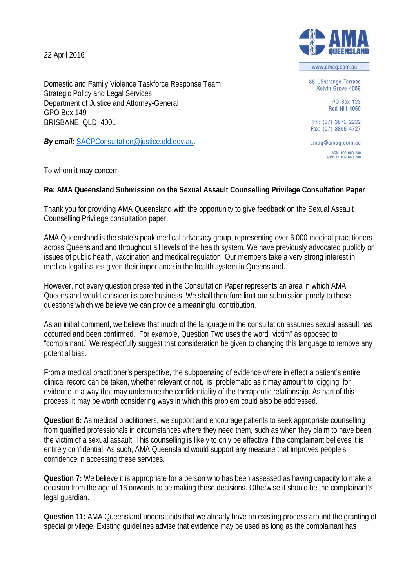22 April 2016

Domestic and Family Violence Taskforce Response Team Strategic Policy and Legal Services Department of Justice and Attorney-General GPO Box 149 BRISBANE QLD 4001

*By email:* [SACPConsultation@justice.qld.gov.au.](mailto:SACPConsultation@justice.qld.gov.au)

To whom it may concern

## **Re: AMA Queensland Submission on the Sexual Assault Counselling Privilege Consultation Paper**

Thank you for providing AMA Queensland with the opportunity to give feedback on the Sexual Assault Counselling Privilege consultation paper.

AMA Queensland is the state's peak medical advocacy group, representing over 6,000 medical practitioners across Queensland and throughout all levels of the health system. We have previously advocated publicly on issues of public health, vaccination and medical regulation. Our members take a very strong interest in medico-legal issues given their importance in the health system in Queensland.

However, not every question presented in the Consultation Paper represents an area in which AMA Queensland would consider its core business. We shall therefore limit our submission purely to those questions which we believe we can provide a meaningful contribution.

As an initial comment, we believe that much of the language in the consultation assumes sexual assault has occurred and been confirmed. For example, Question Two uses the word "victim" as opposed to "complainant." We respectfully suggest that consideration be given to changing this language to remove any potential bias.

From a medical practitioner's perspective, the subpoenaing of evidence where in effect a patient's entire clinical record can be taken, whether relevant or not, is problematic as it may amount to 'digging' for evidence in a way that may undermine the confidentiality of the therapeutic relationship. As part of this process, it may be worth considering ways in which this problem could also be addressed.

**Question 6:** As medical practitioners, we support and encourage patients to seek appropriate counselling from qualified professionals in circumstances where they need them, such as when they claim to have been the victim of a sexual assault. This counselling is likely to only be effective if the complainant believes it is entirely confidential. As such, AMA Queensland would support any measure that improves people's confidence in accessing these services.

**Question 7:** We believe it is appropriate for a person who has been assessed as having capacity to make a decision from the age of 16 onwards to be making those decisions. Otherwise it should be the complainant's legal guardian.

**Question 11:** AMA Queensland understands that we already have an existing process around the granting of special privilege. Existing guidelines advise that evidence may be used as long as the complainant has



www.amag.com.au

88 L'Estrange Terrace Kelvin Grove 4059

> PO Box 123 **Red Hill 4059**

Ph: (07) 3872 2222 Fax: (07) 3856 4727

amag@amag.com.au ACN: 009 660 280<br>ABN: 17 009 660 280